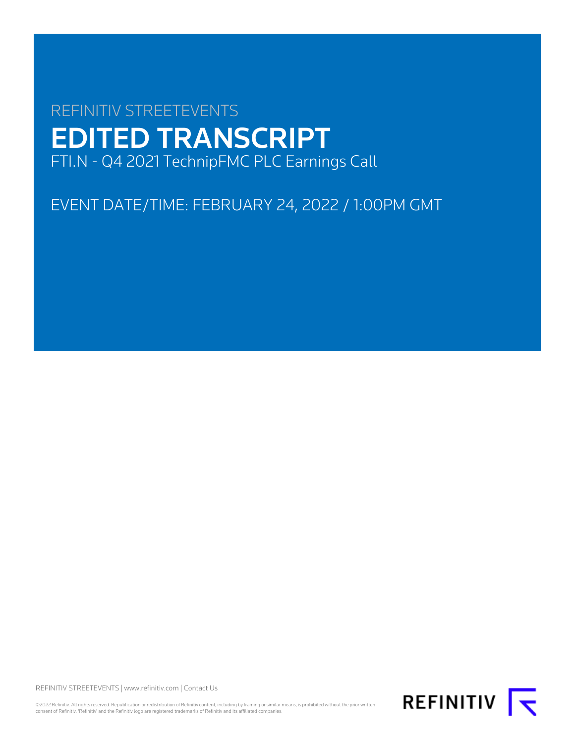# REFINITIV STREETEVENTS EDITED TRANSCRIPT FTI.N - Q4 2021 TechnipFMC PLC Earnings Call

EVENT DATE/TIME: FEBRUARY 24, 2022 / 1:00PM GMT

REFINITIV STREETEVENTS | [www.refinitiv.com](https://www.refinitiv.com/) | [Contact Us](https://www.refinitiv.com/en/contact-us)

©2022 Refinitiv. All rights reserved. Republication or redistribution of Refinitiv content, including by framing or similar means, is prohibited without the prior written<br>consent of Refinitiv. 'Refinitiv' and the Refinitiv

REFINITIV **K**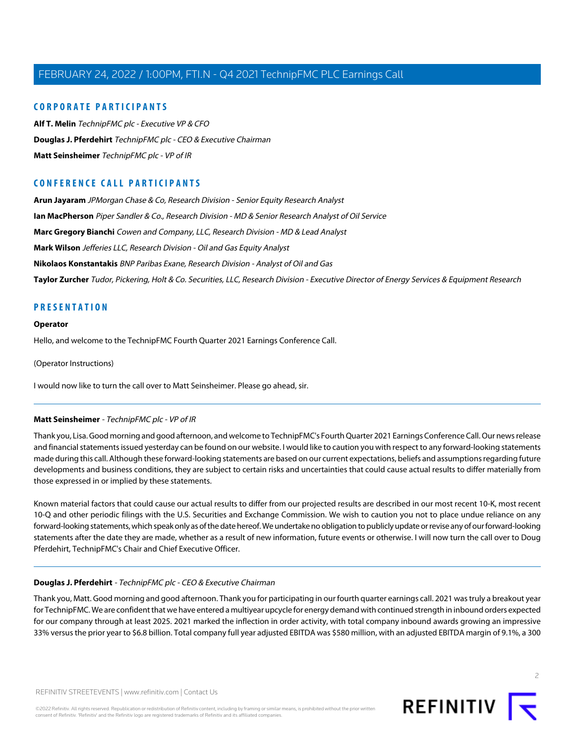#### **CORPORATE PARTICIPANTS**

**[Alf T. Melin](#page-4-0)** TechnipFMC plc - Executive VP & CFO **[Douglas J. Pferdehirt](#page-1-0)** TechnipFMC plc - CEO & Executive Chairman **[Matt Seinsheimer](#page-1-1)** TechnipFMC plc - VP of IR

### **CONFERENCE CALL PARTICIPANTS**

**[Arun Jayaram](#page-8-0)** JPMorgan Chase & Co, Research Division - Senior Equity Research Analyst **[Ian MacPherson](#page-6-0)** Piper Sandler & Co., Research Division - MD & Senior Research Analyst of Oil Service **[Marc Gregory Bianchi](#page-10-0)** Cowen and Company, LLC, Research Division - MD & Lead Analyst **[Mark Wilson](#page-7-0)** Jefferies LLC, Research Division - Oil and Gas Equity Analyst **[Nikolaos Konstantakis](#page-12-0)** BNP Paribas Exane, Research Division - Analyst of Oil and Gas **[Taylor Zurcher](#page-9-0)** Tudor, Pickering, Holt & Co. Securities, LLC, Research Division - Executive Director of Energy Services & Equipment Research

#### **PRESENTATION**

#### **Operator**

Hello, and welcome to the TechnipFMC Fourth Quarter 2021 Earnings Conference Call.

(Operator Instructions)

<span id="page-1-1"></span>I would now like to turn the call over to Matt Seinsheimer. Please go ahead, sir.

#### **Matt Seinsheimer** - TechnipFMC plc - VP of IR

Thank you, Lisa. Good morning and good afternoon, and welcome to TechnipFMC's Fourth Quarter 2021 Earnings Conference Call. Our news release and financial statements issued yesterday can be found on our website. I would like to caution you with respect to any forward-looking statements made during this call. Although these forward-looking statements are based on our current expectations, beliefs and assumptions regarding future developments and business conditions, they are subject to certain risks and uncertainties that could cause actual results to differ materially from those expressed in or implied by these statements.

<span id="page-1-0"></span>Known material factors that could cause our actual results to differ from our projected results are described in our most recent 10-K, most recent 10-Q and other periodic filings with the U.S. Securities and Exchange Commission. We wish to caution you not to place undue reliance on any forward-looking statements, which speak only as of the date hereof. We undertake no obligation to publicly update or revise any of our forward-looking statements after the date they are made, whether as a result of new information, future events or otherwise. I will now turn the call over to Doug Pferdehirt, TechnipFMC's Chair and Chief Executive Officer.

#### **Douglas J. Pferdehirt** - TechnipFMC plc - CEO & Executive Chairman

Thank you, Matt. Good morning and good afternoon. Thank you for participating in our fourth quarter earnings call. 2021 was truly a breakout year for TechnipFMC. We are confident that we have entered a multiyear upcycle for energy demand with continued strength in inbound orders expected for our company through at least 2025. 2021 marked the inflection in order activity, with total company inbound awards growing an impressive 33% versus the prior year to \$6.8 billion. Total company full year adjusted EBITDA was \$580 million, with an adjusted EBITDA margin of 9.1%, a 300



 $\overline{2}$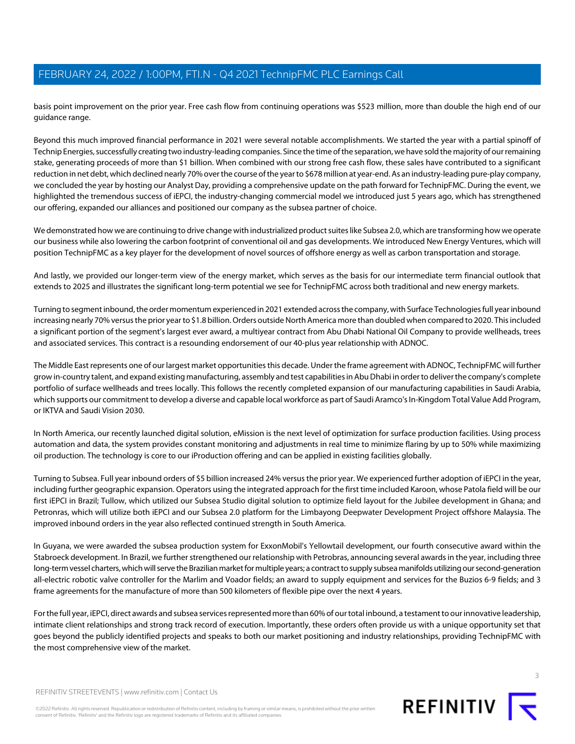basis point improvement on the prior year. Free cash flow from continuing operations was \$523 million, more than double the high end of our guidance range.

Beyond this much improved financial performance in 2021 were several notable accomplishments. We started the year with a partial spinoff of Technip Energies, successfully creating two industry-leading companies. Since the time of the separation, we have sold the majority of our remaining stake, generating proceeds of more than \$1 billion. When combined with our strong free cash flow, these sales have contributed to a significant reduction in net debt, which declined nearly 70% over the course of the year to \$678 million at year-end. As an industry-leading pure-play company, we concluded the year by hosting our Analyst Day, providing a comprehensive update on the path forward for TechnipFMC. During the event, we highlighted the tremendous success of iEPCI, the industry-changing commercial model we introduced just 5 years ago, which has strengthened our offering, expanded our alliances and positioned our company as the subsea partner of choice.

We demonstrated how we are continuing to drive change with industrialized product suites like Subsea 2.0, which are transforming how we operate our business while also lowering the carbon footprint of conventional oil and gas developments. We introduced New Energy Ventures, which will position TechnipFMC as a key player for the development of novel sources of offshore energy as well as carbon transportation and storage.

And lastly, we provided our longer-term view of the energy market, which serves as the basis for our intermediate term financial outlook that extends to 2025 and illustrates the significant long-term potential we see for TechnipFMC across both traditional and new energy markets.

Turning to segment inbound, the order momentum experienced in 2021 extended across the company, with Surface Technologies full year inbound increasing nearly 70% versus the prior year to \$1.8 billion. Orders outside North America more than doubled when compared to 2020. This included a significant portion of the segment's largest ever award, a multiyear contract from Abu Dhabi National Oil Company to provide wellheads, trees and associated services. This contract is a resounding endorsement of our 40-plus year relationship with ADNOC.

The Middle East represents one of our largest market opportunities this decade. Under the frame agreement with ADNOC, TechnipFMC will further grow in-country talent, and expand existing manufacturing, assembly and test capabilities in Abu Dhabi in order to deliver the company's complete portfolio of surface wellheads and trees locally. This follows the recently completed expansion of our manufacturing capabilities in Saudi Arabia, which supports our commitment to develop a diverse and capable local workforce as part of Saudi Aramco's In-Kingdom Total Value Add Program, or IKTVA and Saudi Vision 2030.

In North America, our recently launched digital solution, eMission is the next level of optimization for surface production facilities. Using process automation and data, the system provides constant monitoring and adjustments in real time to minimize flaring by up to 50% while maximizing oil production. The technology is core to our iProduction offering and can be applied in existing facilities globally.

Turning to Subsea. Full year inbound orders of \$5 billion increased 24% versus the prior year. We experienced further adoption of iEPCI in the year, including further geographic expansion. Operators using the integrated approach for the first time included Karoon, whose Patola field will be our first iEPCI in Brazil; Tullow, which utilized our Subsea Studio digital solution to optimize field layout for the Jubilee development in Ghana; and Petronras, which will utilize both iEPCI and our Subsea 2.0 platform for the Limbayong Deepwater Development Project offshore Malaysia. The improved inbound orders in the year also reflected continued strength in South America.

In Guyana, we were awarded the subsea production system for ExxonMobil's Yellowtail development, our fourth consecutive award within the Stabroeck development. In Brazil, we further strengthened our relationship with Petrobras, announcing several awards in the year, including three long-term vessel charters, which will serve the Brazilian market for multiple years; a contract to supply subsea manifolds utilizing our second-generation all-electric robotic valve controller for the Marlim and Voador fields; an award to supply equipment and services for the Buzios 6-9 fields; and 3 frame agreements for the manufacture of more than 500 kilometers of flexible pipe over the next 4 years.

For the full year, iEPCI, direct awards and subsea services represented more than 60% of our total inbound, a testament to our innovative leadership, intimate client relationships and strong track record of execution. Importantly, these orders often provide us with a unique opportunity set that goes beyond the publicly identified projects and speaks to both our market positioning and industry relationships, providing TechnipFMC with the most comprehensive view of the market.

©2022 Refinitiv. All rights reserved. Republication or redistribution of Refinitiv content, including by framing or similar means, is prohibited without the prior written consent of Refinitiv. 'Refinitiv' and the Refinitiv logo are registered trademarks of Refinitiv and its affiliated companies.



REFINITIV T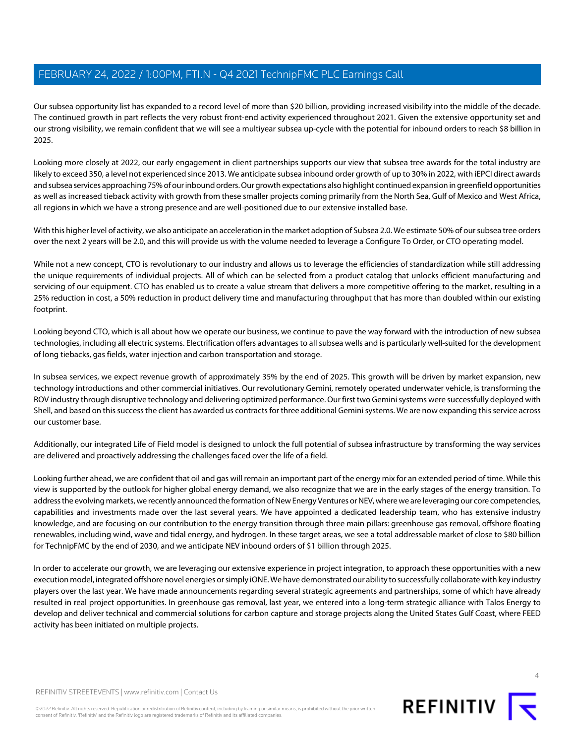Our subsea opportunity list has expanded to a record level of more than \$20 billion, providing increased visibility into the middle of the decade. The continued growth in part reflects the very robust front-end activity experienced throughout 2021. Given the extensive opportunity set and our strong visibility, we remain confident that we will see a multiyear subsea up-cycle with the potential for inbound orders to reach \$8 billion in 2025.

Looking more closely at 2022, our early engagement in client partnerships supports our view that subsea tree awards for the total industry are likely to exceed 350, a level not experienced since 2013. We anticipate subsea inbound order growth of up to 30% in 2022, with iEPCI direct awards and subsea services approaching 75% of our inbound orders. Our growth expectations also highlight continued expansion in greenfield opportunities as well as increased tieback activity with growth from these smaller projects coming primarily from the North Sea, Gulf of Mexico and West Africa, all regions in which we have a strong presence and are well-positioned due to our extensive installed base.

With this higher level of activity, we also anticipate an acceleration in the market adoption of Subsea 2.0. We estimate 50% of our subsea tree orders over the next 2 years will be 2.0, and this will provide us with the volume needed to leverage a Configure To Order, or CTO operating model.

While not a new concept, CTO is revolutionary to our industry and allows us to leverage the efficiencies of standardization while still addressing the unique requirements of individual projects. All of which can be selected from a product catalog that unlocks efficient manufacturing and servicing of our equipment. CTO has enabled us to create a value stream that delivers a more competitive offering to the market, resulting in a 25% reduction in cost, a 50% reduction in product delivery time and manufacturing throughput that has more than doubled within our existing footprint.

Looking beyond CTO, which is all about how we operate our business, we continue to pave the way forward with the introduction of new subsea technologies, including all electric systems. Electrification offers advantages to all subsea wells and is particularly well-suited for the development of long tiebacks, gas fields, water injection and carbon transportation and storage.

In subsea services, we expect revenue growth of approximately 35% by the end of 2025. This growth will be driven by market expansion, new technology introductions and other commercial initiatives. Our revolutionary Gemini, remotely operated underwater vehicle, is transforming the ROV industry through disruptive technology and delivering optimized performance. Our first two Gemini systems were successfully deployed with Shell, and based on this success the client has awarded us contracts for three additional Gemini systems. We are now expanding this service across our customer base.

Additionally, our integrated Life of Field model is designed to unlock the full potential of subsea infrastructure by transforming the way services are delivered and proactively addressing the challenges faced over the life of a field.

Looking further ahead, we are confident that oil and gas will remain an important part of the energy mix for an extended period of time. While this view is supported by the outlook for higher global energy demand, we also recognize that we are in the early stages of the energy transition. To address the evolving markets, we recently announced the formation of New Energy Ventures or NEV, where we are leveraging our core competencies, capabilities and investments made over the last several years. We have appointed a dedicated leadership team, who has extensive industry knowledge, and are focusing on our contribution to the energy transition through three main pillars: greenhouse gas removal, offshore floating renewables, including wind, wave and tidal energy, and hydrogen. In these target areas, we see a total addressable market of close to \$80 billion for TechnipFMC by the end of 2030, and we anticipate NEV inbound orders of \$1 billion through 2025.

In order to accelerate our growth, we are leveraging our extensive experience in project integration, to approach these opportunities with a new execution model, integrated offshore novel energies or simply iONE. We have demonstrated our ability to successfully collaborate with key industry players over the last year. We have made announcements regarding several strategic agreements and partnerships, some of which have already resulted in real project opportunities. In greenhouse gas removal, last year, we entered into a long-term strategic alliance with Talos Energy to develop and deliver technical and commercial solutions for carbon capture and storage projects along the United States Gulf Coast, where FEED activity has been initiated on multiple projects.



©2022 Refinitiv. All rights reserved. Republication or redistribution of Refinitiv content, including by framing or similar means, is prohibited without the prior written consent of Refinitiv. 'Refinitiv' and the Refinitiv logo are registered trademarks of Refinitiv and its affiliated companies.

REFINITIV **I**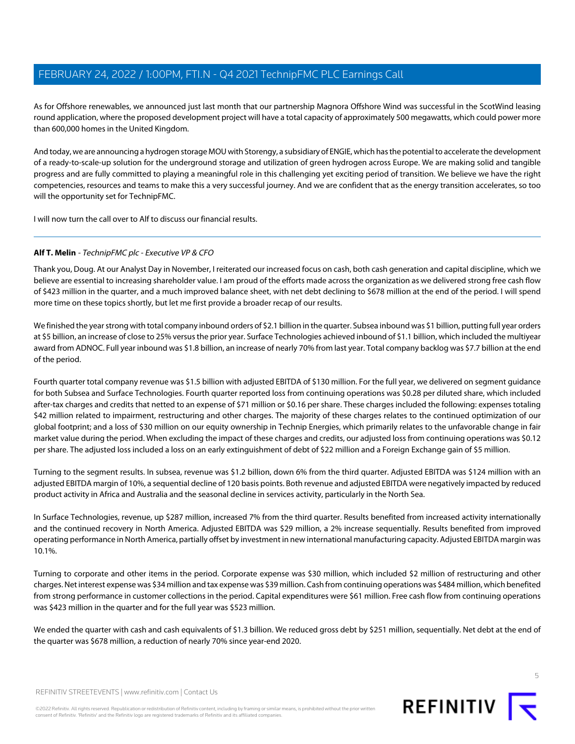As for Offshore renewables, we announced just last month that our partnership Magnora Offshore Wind was successful in the ScotWind leasing round application, where the proposed development project will have a total capacity of approximately 500 megawatts, which could power more than 600,000 homes in the United Kingdom.

And today, we are announcing a hydrogen storage MOU with Storengy, a subsidiary of ENGIE, which has the potential to accelerate the development of a ready-to-scale-up solution for the underground storage and utilization of green hydrogen across Europe. We are making solid and tangible progress and are fully committed to playing a meaningful role in this challenging yet exciting period of transition. We believe we have the right competencies, resources and teams to make this a very successful journey. And we are confident that as the energy transition accelerates, so too will the opportunity set for TechnipFMC.

<span id="page-4-0"></span>I will now turn the call over to Alf to discuss our financial results.

#### **Alf T. Melin** - TechnipFMC plc - Executive VP & CFO

Thank you, Doug. At our Analyst Day in November, I reiterated our increased focus on cash, both cash generation and capital discipline, which we believe are essential to increasing shareholder value. I am proud of the efforts made across the organization as we delivered strong free cash flow of \$423 million in the quarter, and a much improved balance sheet, with net debt declining to \$678 million at the end of the period. I will spend more time on these topics shortly, but let me first provide a broader recap of our results.

We finished the year strong with total company inbound orders of \$2.1 billion in the quarter. Subsea inbound was \$1 billion, putting full year orders at \$5 billion, an increase of close to 25% versus the prior year. Surface Technologies achieved inbound of \$1.1 billion, which included the multiyear award from ADNOC. Full year inbound was \$1.8 billion, an increase of nearly 70% from last year. Total company backlog was \$7.7 billion at the end of the period.

Fourth quarter total company revenue was \$1.5 billion with adjusted EBITDA of \$130 million. For the full year, we delivered on segment guidance for both Subsea and Surface Technologies. Fourth quarter reported loss from continuing operations was \$0.28 per diluted share, which included after-tax charges and credits that netted to an expense of \$71 million or \$0.16 per share. These charges included the following: expenses totaling \$42 million related to impairment, restructuring and other charges. The majority of these charges relates to the continued optimization of our global footprint; and a loss of \$30 million on our equity ownership in Technip Energies, which primarily relates to the unfavorable change in fair market value during the period. When excluding the impact of these charges and credits, our adjusted loss from continuing operations was \$0.12 per share. The adjusted loss included a loss on an early extinguishment of debt of \$22 million and a Foreign Exchange gain of \$5 million.

Turning to the segment results. In subsea, revenue was \$1.2 billion, down 6% from the third quarter. Adjusted EBITDA was \$124 million with an adjusted EBITDA margin of 10%, a sequential decline of 120 basis points. Both revenue and adjusted EBITDA were negatively impacted by reduced product activity in Africa and Australia and the seasonal decline in services activity, particularly in the North Sea.

In Surface Technologies, revenue, up \$287 million, increased 7% from the third quarter. Results benefited from increased activity internationally and the continued recovery in North America. Adjusted EBITDA was \$29 million, a 2% increase sequentially. Results benefited from improved operating performance in North America, partially offset by investment in new international manufacturing capacity. Adjusted EBITDA margin was 10.1%.

Turning to corporate and other items in the period. Corporate expense was \$30 million, which included \$2 million of restructuring and other charges. Net interest expense was \$34 million and tax expense was \$39 million. Cash from continuing operations was \$484 million, which benefited from strong performance in customer collections in the period. Capital expenditures were \$61 million. Free cash flow from continuing operations was \$423 million in the quarter and for the full year was \$523 million.

We ended the quarter with cash and cash equivalents of \$1.3 billion. We reduced gross debt by \$251 million, sequentially. Net debt at the end of the quarter was \$678 million, a reduction of nearly 70% since year-end 2020.

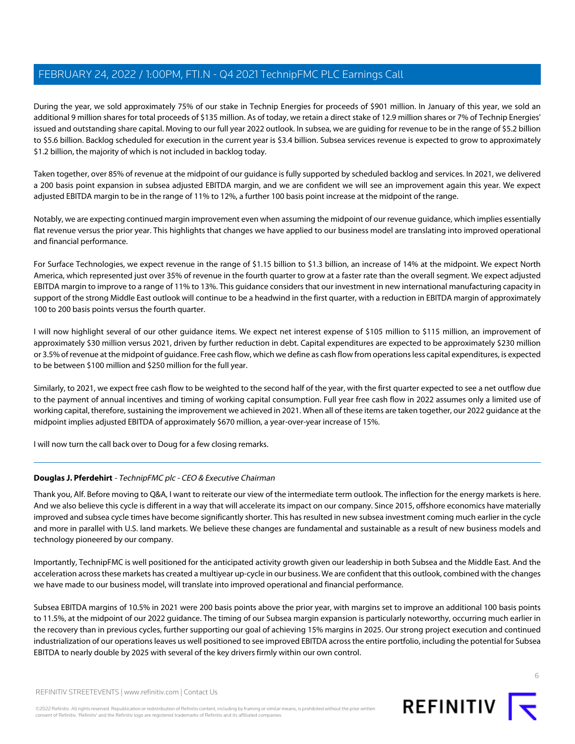During the year, we sold approximately 75% of our stake in Technip Energies for proceeds of \$901 million. In January of this year, we sold an additional 9 million shares for total proceeds of \$135 million. As of today, we retain a direct stake of 12.9 million shares or 7% of Technip Energies' issued and outstanding share capital. Moving to our full year 2022 outlook. In subsea, we are guiding for revenue to be in the range of \$5.2 billion to \$5.6 billion. Backlog scheduled for execution in the current year is \$3.4 billion. Subsea services revenue is expected to grow to approximately \$1.2 billion, the majority of which is not included in backlog today.

Taken together, over 85% of revenue at the midpoint of our guidance is fully supported by scheduled backlog and services. In 2021, we delivered a 200 basis point expansion in subsea adjusted EBITDA margin, and we are confident we will see an improvement again this year. We expect adjusted EBITDA margin to be in the range of 11% to 12%, a further 100 basis point increase at the midpoint of the range.

Notably, we are expecting continued margin improvement even when assuming the midpoint of our revenue guidance, which implies essentially flat revenue versus the prior year. This highlights that changes we have applied to our business model are translating into improved operational and financial performance.

For Surface Technologies, we expect revenue in the range of \$1.15 billion to \$1.3 billion, an increase of 14% at the midpoint. We expect North America, which represented just over 35% of revenue in the fourth quarter to grow at a faster rate than the overall segment. We expect adjusted EBITDA margin to improve to a range of 11% to 13%. This guidance considers that our investment in new international manufacturing capacity in support of the strong Middle East outlook will continue to be a headwind in the first quarter, with a reduction in EBITDA margin of approximately 100 to 200 basis points versus the fourth quarter.

I will now highlight several of our other guidance items. We expect net interest expense of \$105 million to \$115 million, an improvement of approximately \$30 million versus 2021, driven by further reduction in debt. Capital expenditures are expected to be approximately \$230 million or 3.5% of revenue at the midpoint of guidance. Free cash flow, which we define as cash flow from operations less capital expenditures, is expected to be between \$100 million and \$250 million for the full year.

Similarly, to 2021, we expect free cash flow to be weighted to the second half of the year, with the first quarter expected to see a net outflow due to the payment of annual incentives and timing of working capital consumption. Full year free cash flow in 2022 assumes only a limited use of working capital, therefore, sustaining the improvement we achieved in 2021. When all of these items are taken together, our 2022 guidance at the midpoint implies adjusted EBITDA of approximately \$670 million, a year-over-year increase of 15%.

I will now turn the call back over to Doug for a few closing remarks.

#### **Douglas J. Pferdehirt** - TechnipFMC plc - CEO & Executive Chairman

Thank you, Alf. Before moving to Q&A, I want to reiterate our view of the intermediate term outlook. The inflection for the energy markets is here. And we also believe this cycle is different in a way that will accelerate its impact on our company. Since 2015, offshore economics have materially improved and subsea cycle times have become significantly shorter. This has resulted in new subsea investment coming much earlier in the cycle and more in parallel with U.S. land markets. We believe these changes are fundamental and sustainable as a result of new business models and technology pioneered by our company.

Importantly, TechnipFMC is well positioned for the anticipated activity growth given our leadership in both Subsea and the Middle East. And the acceleration across these markets has created a multiyear up-cycle in our business. We are confident that this outlook, combined with the changes we have made to our business model, will translate into improved operational and financial performance.

Subsea EBITDA margins of 10.5% in 2021 were 200 basis points above the prior year, with margins set to improve an additional 100 basis points to 11.5%, at the midpoint of our 2022 guidance. The timing of our Subsea margin expansion is particularly noteworthy, occurring much earlier in the recovery than in previous cycles, further supporting our goal of achieving 15% margins in 2025. Our strong project execution and continued industrialization of our operations leaves us well positioned to see improved EBITDA across the entire portfolio, including the potential for Subsea EBITDA to nearly double by 2025 with several of the key drivers firmly within our own control.

©2022 Refinitiv. All rights reserved. Republication or redistribution of Refinitiv content, including by framing or similar means, is prohibited without the prior written consent of Refinitiv. 'Refinitiv' and the Refinitiv logo are registered trademarks of Refinitiv and its affiliated companies.

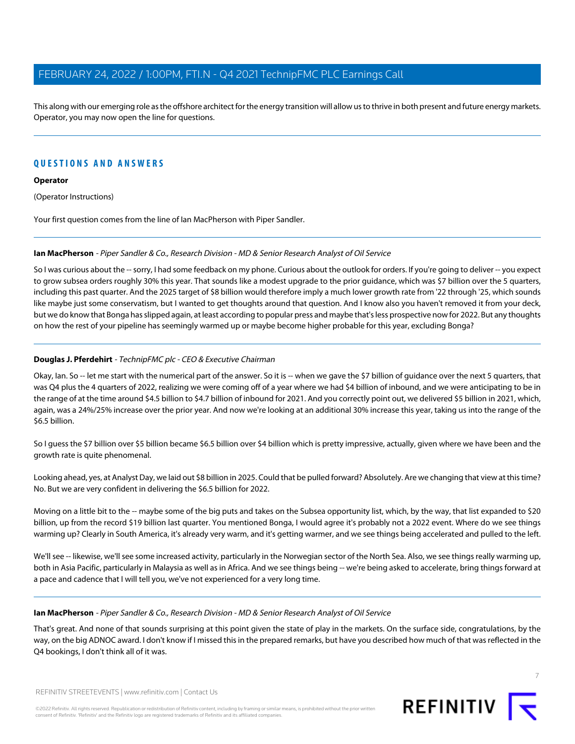This along with our emerging role as the offshore architect for the energy transition will allow us to thrive in both present and future energy markets. Operator, you may now open the line for questions.

### **QUESTIONS AND ANSWERS**

#### **Operator**

(Operator Instructions)

<span id="page-6-0"></span>Your first question comes from the line of Ian MacPherson with Piper Sandler.

#### **Ian MacPherson** - Piper Sandler & Co., Research Division - MD & Senior Research Analyst of Oil Service

So I was curious about the -- sorry, I had some feedback on my phone. Curious about the outlook for orders. If you're going to deliver -- you expect to grow subsea orders roughly 30% this year. That sounds like a modest upgrade to the prior guidance, which was \$7 billion over the 5 quarters, including this past quarter. And the 2025 target of \$8 billion would therefore imply a much lower growth rate from '22 through '25, which sounds like maybe just some conservatism, but I wanted to get thoughts around that question. And I know also you haven't removed it from your deck, but we do know that Bonga has slipped again, at least according to popular press and maybe that's less prospective now for 2022. But any thoughts on how the rest of your pipeline has seemingly warmed up or maybe become higher probable for this year, excluding Bonga?

#### **Douglas J. Pferdehirt** - TechnipFMC plc - CEO & Executive Chairman

Okay, Ian. So -- let me start with the numerical part of the answer. So it is -- when we gave the \$7 billion of guidance over the next 5 quarters, that was Q4 plus the 4 quarters of 2022, realizing we were coming off of a year where we had \$4 billion of inbound, and we were anticipating to be in the range of at the time around \$4.5 billion to \$4.7 billion of inbound for 2021. And you correctly point out, we delivered \$5 billion in 2021, which, again, was a 24%/25% increase over the prior year. And now we're looking at an additional 30% increase this year, taking us into the range of the \$6.5 billion.

So I guess the \$7 billion over \$5 billion became \$6.5 billion over \$4 billion which is pretty impressive, actually, given where we have been and the growth rate is quite phenomenal.

Looking ahead, yes, at Analyst Day, we laid out \$8 billion in 2025. Could that be pulled forward? Absolutely. Are we changing that view at this time? No. But we are very confident in delivering the \$6.5 billion for 2022.

Moving on a little bit to the -- maybe some of the big puts and takes on the Subsea opportunity list, which, by the way, that list expanded to \$20 billion, up from the record \$19 billion last quarter. You mentioned Bonga, I would agree it's probably not a 2022 event. Where do we see things warming up? Clearly in South America, it's already very warm, and it's getting warmer, and we see things being accelerated and pulled to the left.

We'll see -- likewise, we'll see some increased activity, particularly in the Norwegian sector of the North Sea. Also, we see things really warming up, both in Asia Pacific, particularly in Malaysia as well as in Africa. And we see things being -- we're being asked to accelerate, bring things forward at a pace and cadence that I will tell you, we've not experienced for a very long time.

#### **Ian MacPherson** - Piper Sandler & Co., Research Division - MD & Senior Research Analyst of Oil Service

That's great. And none of that sounds surprising at this point given the state of play in the markets. On the surface side, congratulations, by the way, on the big ADNOC award. I don't know if I missed this in the prepared remarks, but have you described how much of that was reflected in the Q4 bookings, I don't think all of it was.



REFINITIV STREETEVENTS | [www.refinitiv.com](https://www.refinitiv.com/) | [Contact Us](https://www.refinitiv.com/en/contact-us)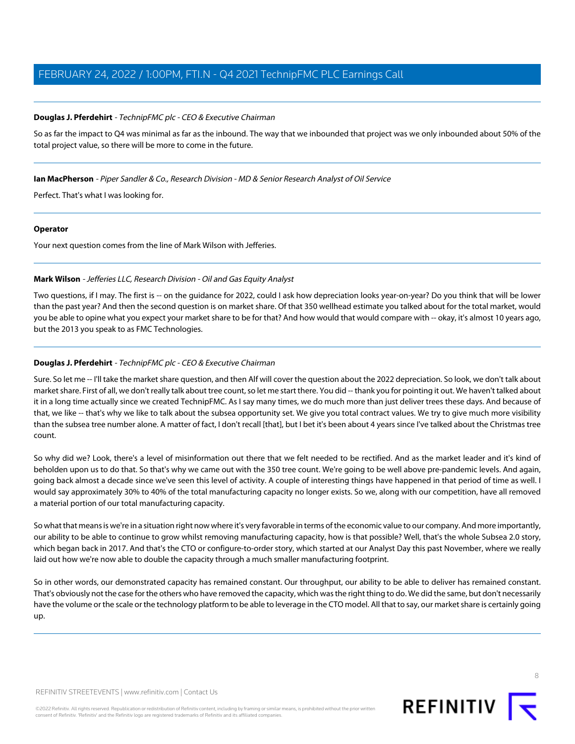#### **Douglas J. Pferdehirt** - TechnipFMC plc - CEO & Executive Chairman

So as far the impact to Q4 was minimal as far as the inbound. The way that we inbounded that project was we only inbounded about 50% of the total project value, so there will be more to come in the future.

#### **Ian MacPherson** - Piper Sandler & Co., Research Division - MD & Senior Research Analyst of Oil Service

Perfect. That's what I was looking for.

#### **Operator**

<span id="page-7-0"></span>Your next question comes from the line of Mark Wilson with Jefferies.

#### **Mark Wilson** - Jefferies LLC, Research Division - Oil and Gas Equity Analyst

Two questions, if I may. The first is -- on the quidance for 2022, could I ask how depreciation looks year-on-year? Do you think that will be lower than the past year? And then the second question is on market share. Of that 350 wellhead estimate you talked about for the total market, would you be able to opine what you expect your market share to be for that? And how would that would compare with -- okay, it's almost 10 years ago, but the 2013 you speak to as FMC Technologies.

#### **Douglas J. Pferdehirt** - TechnipFMC plc - CEO & Executive Chairman

Sure. So let me -- I'll take the market share question, and then Alf will cover the question about the 2022 depreciation. So look, we don't talk about market share. First of all, we don't really talk about tree count, so let me start there. You did -- thank you for pointing it out. We haven't talked about it in a long time actually since we created TechnipFMC. As I say many times, we do much more than just deliver trees these days. And because of that, we like -- that's why we like to talk about the subsea opportunity set. We give you total contract values. We try to give much more visibility than the subsea tree number alone. A matter of fact, I don't recall [that], but I bet it's been about 4 years since I've talked about the Christmas tree count.

So why did we? Look, there's a level of misinformation out there that we felt needed to be rectified. And as the market leader and it's kind of beholden upon us to do that. So that's why we came out with the 350 tree count. We're going to be well above pre-pandemic levels. And again, going back almost a decade since we've seen this level of activity. A couple of interesting things have happened in that period of time as well. I would say approximately 30% to 40% of the total manufacturing capacity no longer exists. So we, along with our competition, have all removed a material portion of our total manufacturing capacity.

So what that means is we're in a situation right now where it's very favorable in terms of the economic value to our company. And more importantly, our ability to be able to continue to grow whilst removing manufacturing capacity, how is that possible? Well, that's the whole Subsea 2.0 story, which began back in 2017. And that's the CTO or configure-to-order story, which started at our Analyst Day this past November, where we really laid out how we're now able to double the capacity through a much smaller manufacturing footprint.

So in other words, our demonstrated capacity has remained constant. Our throughput, our ability to be able to deliver has remained constant. That's obviously not the case for the others who have removed the capacity, which was the right thing to do. We did the same, but don't necessarily have the volume or the scale or the technology platform to be able to leverage in the CTO model. All that to say, our market share is certainly going up.

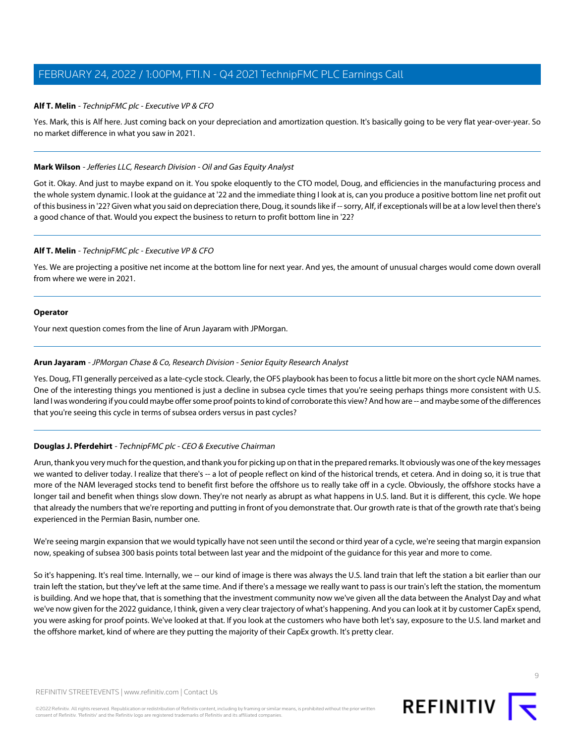#### **Alf T. Melin** - TechnipFMC plc - Executive VP & CFO

Yes. Mark, this is Alf here. Just coming back on your depreciation and amortization question. It's basically going to be very flat year-over-year. So no market difference in what you saw in 2021.

#### **Mark Wilson** - Jefferies LLC, Research Division - Oil and Gas Equity Analyst

Got it. Okay. And just to maybe expand on it. You spoke eloquently to the CTO model, Doug, and efficiencies in the manufacturing process and the whole system dynamic. I look at the guidance at '22 and the immediate thing I look at is, can you produce a positive bottom line net profit out of this business in '22? Given what you said on depreciation there, Doug, it sounds like if -- sorry, Alf, if exceptionals will be at a low level then there's a good chance of that. Would you expect the business to return to profit bottom line in '22?

#### **Alf T. Melin** - TechnipFMC plc - Executive VP & CFO

Yes. We are projecting a positive net income at the bottom line for next year. And yes, the amount of unusual charges would come down overall from where we were in 2021.

#### **Operator**

<span id="page-8-0"></span>Your next question comes from the line of Arun Jayaram with JPMorgan.

#### **Arun Jayaram** - JPMorgan Chase & Co, Research Division - Senior Equity Research Analyst

Yes. Doug, FTI generally perceived as a late-cycle stock. Clearly, the OFS playbook has been to focus a little bit more on the short cycle NAM names. One of the interesting things you mentioned is just a decline in subsea cycle times that you're seeing perhaps things more consistent with U.S. land I was wondering if you could maybe offer some proof points to kind of corroborate this view? And how are -- and maybe some of the differences that you're seeing this cycle in terms of subsea orders versus in past cycles?

#### **Douglas J. Pferdehirt** - TechnipFMC plc - CEO & Executive Chairman

Arun, thank you very much for the question, and thank you for picking up on that in the prepared remarks. It obviously was one of the key messages we wanted to deliver today. I realize that there's -- a lot of people reflect on kind of the historical trends, et cetera. And in doing so, it is true that more of the NAM leveraged stocks tend to benefit first before the offshore us to really take off in a cycle. Obviously, the offshore stocks have a longer tail and benefit when things slow down. They're not nearly as abrupt as what happens in U.S. land. But it is different, this cycle. We hope that already the numbers that we're reporting and putting in front of you demonstrate that. Our growth rate is that of the growth rate that's being experienced in the Permian Basin, number one.

We're seeing margin expansion that we would typically have not seen until the second or third year of a cycle, we're seeing that margin expansion now, speaking of subsea 300 basis points total between last year and the midpoint of the guidance for this year and more to come.

So it's happening. It's real time. Internally, we -- our kind of image is there was always the U.S. land train that left the station a bit earlier than our train left the station, but they've left at the same time. And if there's a message we really want to pass is our train's left the station, the momentum is building. And we hope that, that is something that the investment community now we've given all the data between the Analyst Day and what we've now given for the 2022 guidance, I think, given a very clear trajectory of what's happening. And you can look at it by customer CapEx spend, you were asking for proof points. We've looked at that. If you look at the customers who have both let's say, exposure to the U.S. land market and the offshore market, kind of where are they putting the majority of their CapEx growth. It's pretty clear.

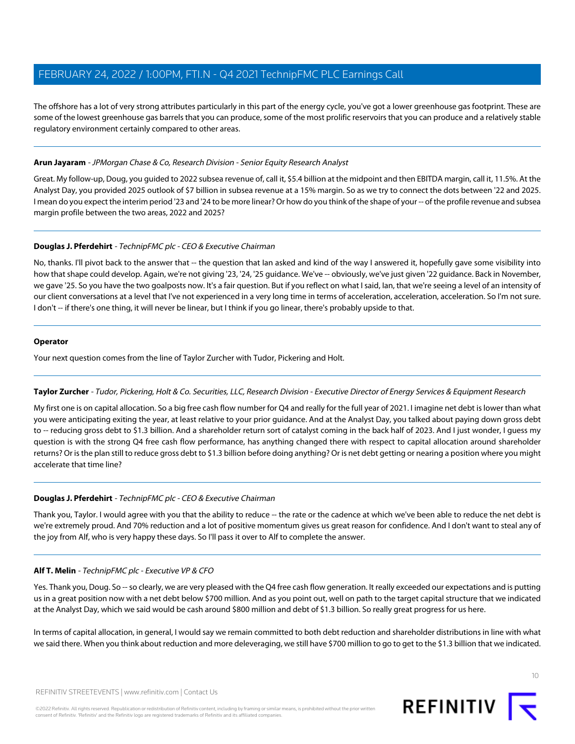The offshore has a lot of very strong attributes particularly in this part of the energy cycle, you've got a lower greenhouse gas footprint. These are some of the lowest greenhouse gas barrels that you can produce, some of the most prolific reservoirs that you can produce and a relatively stable regulatory environment certainly compared to other areas.

#### **Arun Jayaram** - JPMorgan Chase & Co, Research Division - Senior Equity Research Analyst

Great. My follow-up, Doug, you guided to 2022 subsea revenue of, call it, \$5.4 billion at the midpoint and then EBITDA margin, call it, 11.5%. At the Analyst Day, you provided 2025 outlook of \$7 billion in subsea revenue at a 15% margin. So as we try to connect the dots between '22 and 2025. I mean do you expect the interim period '23 and '24 to be more linear? Or how do you think of the shape of your -- of the profile revenue and subsea margin profile between the two areas, 2022 and 2025?

#### **Douglas J. Pferdehirt** - TechnipFMC plc - CEO & Executive Chairman

No, thanks. I'll pivot back to the answer that -- the question that Ian asked and kind of the way I answered it, hopefully gave some visibility into how that shape could develop. Again, we're not giving '23, '24, '25 guidance. We've -- obviously, we've just given '22 guidance. Back in November, we gave '25. So you have the two goalposts now. It's a fair question. But if you reflect on what I said, Ian, that we're seeing a level of an intensity of our client conversations at a level that I've not experienced in a very long time in terms of acceleration, acceleration, acceleration. So I'm not sure. I don't -- if there's one thing, it will never be linear, but I think if you go linear, there's probably upside to that.

#### **Operator**

<span id="page-9-0"></span>Your next question comes from the line of Taylor Zurcher with Tudor, Pickering and Holt.

#### **Taylor Zurcher** - Tudor, Pickering, Holt & Co. Securities, LLC, Research Division - Executive Director of Energy Services & Equipment Research

My first one is on capital allocation. So a big free cash flow number for Q4 and really for the full year of 2021. I imagine net debt is lower than what you were anticipating exiting the year, at least relative to your prior guidance. And at the Analyst Day, you talked about paying down gross debt to -- reducing gross debt to \$1.3 billion. And a shareholder return sort of catalyst coming in the back half of 2023. And I just wonder, I guess my question is with the strong Q4 free cash flow performance, has anything changed there with respect to capital allocation around shareholder returns? Or is the plan still to reduce gross debt to \$1.3 billion before doing anything? Or is net debt getting or nearing a position where you might accelerate that time line?

#### **Douglas J. Pferdehirt** - TechnipFMC plc - CEO & Executive Chairman

Thank you, Taylor. I would agree with you that the ability to reduce -- the rate or the cadence at which we've been able to reduce the net debt is we're extremely proud. And 70% reduction and a lot of positive momentum gives us great reason for confidence. And I don't want to steal any of the joy from Alf, who is very happy these days. So I'll pass it over to Alf to complete the answer.

#### **Alf T. Melin** - TechnipFMC plc - Executive VP & CFO

Yes. Thank you, Doug. So -- so clearly, we are very pleased with the Q4 free cash flow generation. It really exceeded our expectations and is putting us in a great position now with a net debt below \$700 million. And as you point out, well on path to the target capital structure that we indicated at the Analyst Day, which we said would be cash around \$800 million and debt of \$1.3 billion. So really great progress for us here.

In terms of capital allocation, in general, I would say we remain committed to both debt reduction and shareholder distributions in line with what we said there. When you think about reduction and more deleveraging, we still have \$700 million to go to get to the \$1.3 billion that we indicated.

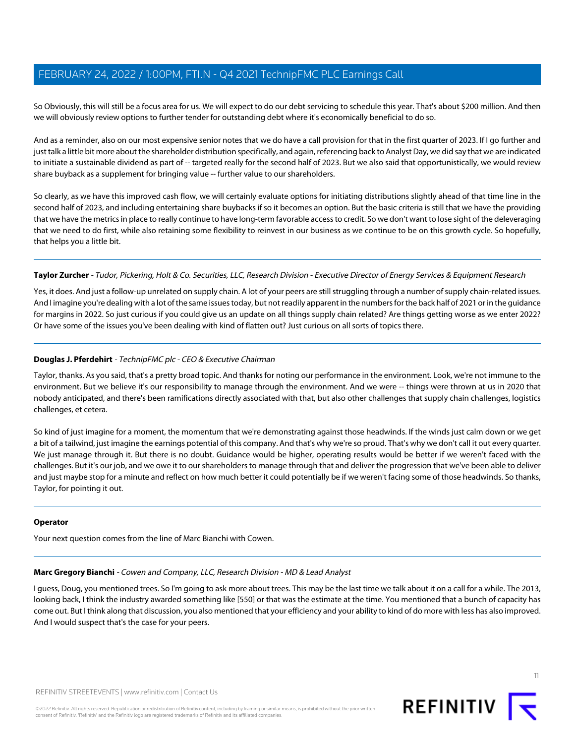So Obviously, this will still be a focus area for us. We will expect to do our debt servicing to schedule this year. That's about \$200 million. And then we will obviously review options to further tender for outstanding debt where it's economically beneficial to do so.

And as a reminder, also on our most expensive senior notes that we do have a call provision for that in the first quarter of 2023. If I go further and just talk a little bit more about the shareholder distribution specifically, and again, referencing back to Analyst Day, we did say that we are indicated to initiate a sustainable dividend as part of -- targeted really for the second half of 2023. But we also said that opportunistically, we would review share buyback as a supplement for bringing value -- further value to our shareholders.

So clearly, as we have this improved cash flow, we will certainly evaluate options for initiating distributions slightly ahead of that time line in the second half of 2023, and including entertaining share buybacks if so it becomes an option. But the basic criteria is still that we have the providing that we have the metrics in place to really continue to have long-term favorable access to credit. So we don't want to lose sight of the deleveraging that we need to do first, while also retaining some flexibility to reinvest in our business as we continue to be on this growth cycle. So hopefully, that helps you a little bit.

#### **Taylor Zurcher** - Tudor, Pickering, Holt & Co. Securities, LLC, Research Division - Executive Director of Energy Services & Equipment Research

Yes, it does. And just a follow-up unrelated on supply chain. A lot of your peers are still struggling through a number of supply chain-related issues. And I imagine you're dealing with a lot of the same issues today, but not readily apparent in the numbers for the back half of 2021 or in the guidance for margins in 2022. So just curious if you could give us an update on all things supply chain related? Are things getting worse as we enter 2022? Or have some of the issues you've been dealing with kind of flatten out? Just curious on all sorts of topics there.

#### **Douglas J. Pferdehirt** - TechnipFMC plc - CEO & Executive Chairman

Taylor, thanks. As you said, that's a pretty broad topic. And thanks for noting our performance in the environment. Look, we're not immune to the environment. But we believe it's our responsibility to manage through the environment. And we were -- things were thrown at us in 2020 that nobody anticipated, and there's been ramifications directly associated with that, but also other challenges that supply chain challenges, logistics challenges, et cetera.

So kind of just imagine for a moment, the momentum that we're demonstrating against those headwinds. If the winds just calm down or we get a bit of a tailwind, just imagine the earnings potential of this company. And that's why we're so proud. That's why we don't call it out every quarter. We just manage through it. But there is no doubt. Guidance would be higher, operating results would be better if we weren't faced with the challenges. But it's our job, and we owe it to our shareholders to manage through that and deliver the progression that we've been able to deliver and just maybe stop for a minute and reflect on how much better it could potentially be if we weren't facing some of those headwinds. So thanks, Taylor, for pointing it out.

#### <span id="page-10-0"></span>**Operator**

Your next question comes from the line of Marc Bianchi with Cowen.

#### **Marc Gregory Bianchi** - Cowen and Company, LLC, Research Division - MD & Lead Analyst

I guess, Doug, you mentioned trees. So I'm going to ask more about trees. This may be the last time we talk about it on a call for a while. The 2013, looking back, I think the industry awarded something like [550] or that was the estimate at the time. You mentioned that a bunch of capacity has come out. But I think along that discussion, you also mentioned that your efficiency and your ability to kind of do more with less has also improved. And I would suspect that's the case for your peers.



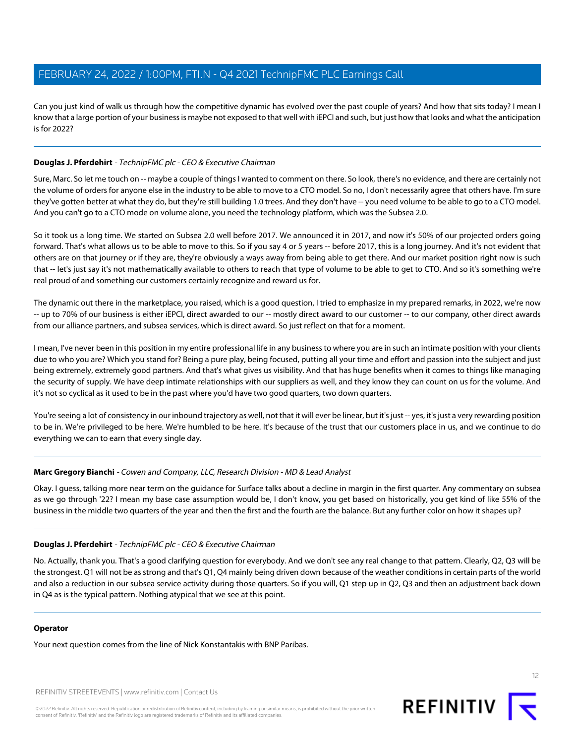Can you just kind of walk us through how the competitive dynamic has evolved over the past couple of years? And how that sits today? I mean I know that a large portion of your business is maybe not exposed to that well with iEPCI and such, but just how that looks and what the anticipation is for 2022?

#### **Douglas J. Pferdehirt** - TechnipFMC plc - CEO & Executive Chairman

Sure, Marc. So let me touch on -- maybe a couple of things I wanted to comment on there. So look, there's no evidence, and there are certainly not the volume of orders for anyone else in the industry to be able to move to a CTO model. So no, I don't necessarily agree that others have. I'm sure they've gotten better at what they do, but they're still building 1.0 trees. And they don't have -- you need volume to be able to go to a CTO model. And you can't go to a CTO mode on volume alone, you need the technology platform, which was the Subsea 2.0.

So it took us a long time. We started on Subsea 2.0 well before 2017. We announced it in 2017, and now it's 50% of our projected orders going forward. That's what allows us to be able to move to this. So if you say 4 or 5 years -- before 2017, this is a long journey. And it's not evident that others are on that journey or if they are, they're obviously a ways away from being able to get there. And our market position right now is such that -- let's just say it's not mathematically available to others to reach that type of volume to be able to get to CTO. And so it's something we're real proud of and something our customers certainly recognize and reward us for.

The dynamic out there in the marketplace, you raised, which is a good question, I tried to emphasize in my prepared remarks, in 2022, we're now -- up to 70% of our business is either iEPCI, direct awarded to our -- mostly direct award to our customer -- to our company, other direct awards from our alliance partners, and subsea services, which is direct award. So just reflect on that for a moment.

I mean, I've never been in this position in my entire professional life in any business to where you are in such an intimate position with your clients due to who you are? Which you stand for? Being a pure play, being focused, putting all your time and effort and passion into the subject and just being extremely, extremely good partners. And that's what gives us visibility. And that has huge benefits when it comes to things like managing the security of supply. We have deep intimate relationships with our suppliers as well, and they know they can count on us for the volume. And it's not so cyclical as it used to be in the past where you'd have two good quarters, two down quarters.

You're seeing a lot of consistency in our inbound trajectory as well, not that it will ever be linear, but it's just -- yes, it's just a very rewarding position to be in. We're privileged to be here. We're humbled to be here. It's because of the trust that our customers place in us, and we continue to do everything we can to earn that every single day.

#### **Marc Gregory Bianchi** - Cowen and Company, LLC, Research Division - MD & Lead Analyst

Okay. I guess, talking more near term on the guidance for Surface talks about a decline in margin in the first quarter. Any commentary on subsea as we go through '22? I mean my base case assumption would be, I don't know, you get based on historically, you get kind of like 55% of the business in the middle two quarters of the year and then the first and the fourth are the balance. But any further color on how it shapes up?

#### **Douglas J. Pferdehirt** - TechnipFMC plc - CEO & Executive Chairman

No. Actually, thank you. That's a good clarifying question for everybody. And we don't see any real change to that pattern. Clearly, Q2, Q3 will be the strongest. Q1 will not be as strong and that's Q1, Q4 mainly being driven down because of the weather conditions in certain parts of the world and also a reduction in our subsea service activity during those quarters. So if you will, Q1 step up in Q2, Q3 and then an adjustment back down in Q4 as is the typical pattern. Nothing atypical that we see at this point.

#### **Operator**

Your next question comes from the line of Nick Konstantakis with BNP Paribas.

REFINITIV STREETEVENTS | [www.refinitiv.com](https://www.refinitiv.com/) | [Contact Us](https://www.refinitiv.com/en/contact-us)

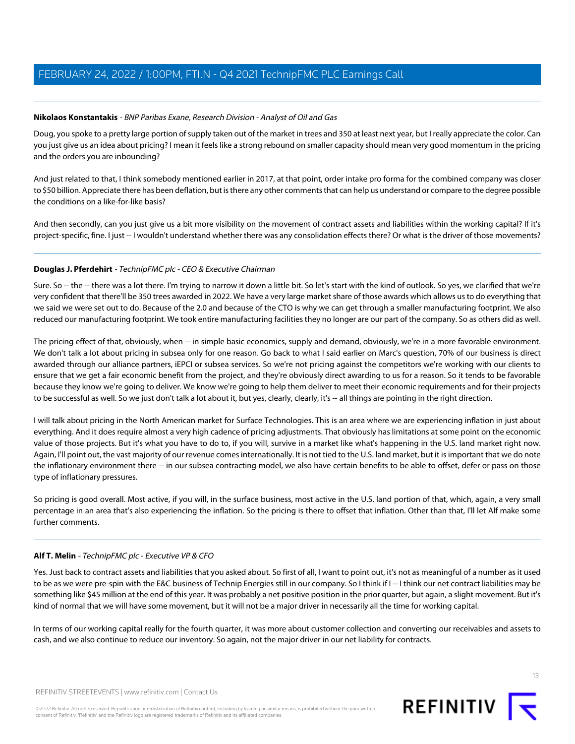#### <span id="page-12-0"></span>**Nikolaos Konstantakis** - BNP Paribas Exane, Research Division - Analyst of Oil and Gas

Doug, you spoke to a pretty large portion of supply taken out of the market in trees and 350 at least next year, but I really appreciate the color. Can you just give us an idea about pricing? I mean it feels like a strong rebound on smaller capacity should mean very good momentum in the pricing and the orders you are inbounding?

And just related to that, I think somebody mentioned earlier in 2017, at that point, order intake pro forma for the combined company was closer to \$50 billion. Appreciate there has been deflation, but is there any other comments that can help us understand or compare to the degree possible the conditions on a like-for-like basis?

And then secondly, can you just give us a bit more visibility on the movement of contract assets and liabilities within the working capital? If it's project-specific, fine. I just -- I wouldn't understand whether there was any consolidation effects there? Or what is the driver of those movements?

#### **Douglas J. Pferdehirt** - TechnipFMC plc - CEO & Executive Chairman

Sure. So -- the -- there was a lot there. I'm trying to narrow it down a little bit. So let's start with the kind of outlook. So yes, we clarified that we're very confident that there'll be 350 trees awarded in 2022. We have a very large market share of those awards which allows us to do everything that we said we were set out to do. Because of the 2.0 and because of the CTO is why we can get through a smaller manufacturing footprint. We also reduced our manufacturing footprint. We took entire manufacturing facilities they no longer are our part of the company. So as others did as well.

The pricing effect of that, obviously, when -- in simple basic economics, supply and demand, obviously, we're in a more favorable environment. We don't talk a lot about pricing in subsea only for one reason. Go back to what I said earlier on Marc's question, 70% of our business is direct awarded through our alliance partners, iEPCI or subsea services. So we're not pricing against the competitors we're working with our clients to ensure that we get a fair economic benefit from the project, and they're obviously direct awarding to us for a reason. So it tends to be favorable because they know we're going to deliver. We know we're going to help them deliver to meet their economic requirements and for their projects to be successful as well. So we just don't talk a lot about it, but yes, clearly, clearly, it's -- all things are pointing in the right direction.

I will talk about pricing in the North American market for Surface Technologies. This is an area where we are experiencing inflation in just about everything. And it does require almost a very high cadence of pricing adjustments. That obviously has limitations at some point on the economic value of those projects. But it's what you have to do to, if you will, survive in a market like what's happening in the U.S. land market right now. Again, I'll point out, the vast majority of our revenue comes internationally. It is not tied to the U.S. land market, but it is important that we do note the inflationary environment there -- in our subsea contracting model, we also have certain benefits to be able to offset, defer or pass on those type of inflationary pressures.

So pricing is good overall. Most active, if you will, in the surface business, most active in the U.S. land portion of that, which, again, a very small percentage in an area that's also experiencing the inflation. So the pricing is there to offset that inflation. Other than that, I'll let Alf make some further comments.

#### **Alf T. Melin** - TechnipFMC plc - Executive VP & CFO

Yes. Just back to contract assets and liabilities that you asked about. So first of all, I want to point out, it's not as meaningful of a number as it used to be as we were pre-spin with the E&C business of Technip Energies still in our company. So I think if I -- I think our net contract liabilities may be something like \$45 million at the end of this year. It was probably a net positive position in the prior quarter, but again, a slight movement. But it's kind of normal that we will have some movement, but it will not be a major driver in necessarily all the time for working capital.

In terms of our working capital really for the fourth quarter, it was more about customer collection and converting our receivables and assets to cash, and we also continue to reduce our inventory. So again, not the major driver in our net liability for contracts.